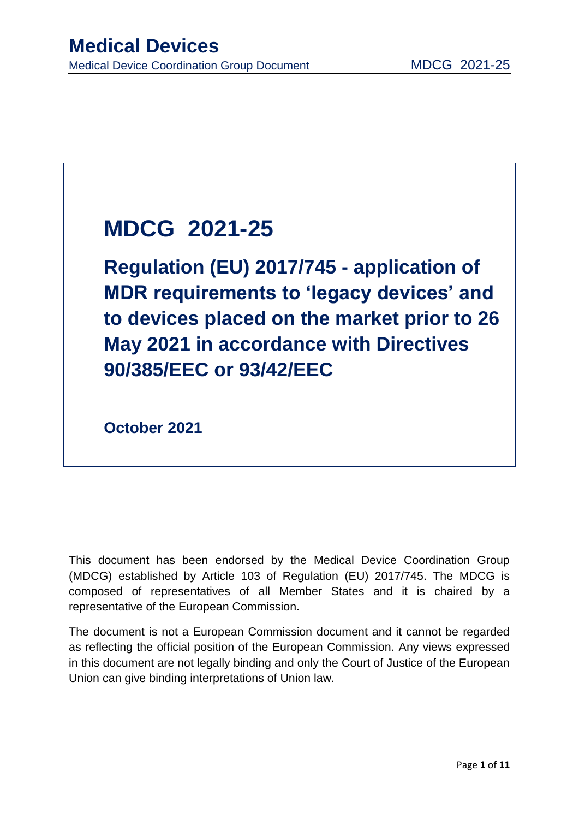# **MDCG 2021-25**

**Regulation (EU) 2017/745 - application of MDR requirements to 'legacy devices' and to devices placed on the market prior to 26 May 2021 in accordance with Directives 90/385/EEC or 93/42/EEC**

**October 2021**

This document has been endorsed by the Medical Device Coordination Group (MDCG) established by Article 103 of Regulation (EU) 2017/745. The MDCG is composed of representatives of all Member States and it is chaired by a representative of the European Commission.

The document is not a European Commission document and it cannot be regarded as reflecting the official position of the European Commission. Any views expressed in this document are not legally binding and only the Court of Justice of the European Union can give binding interpretations of Union law.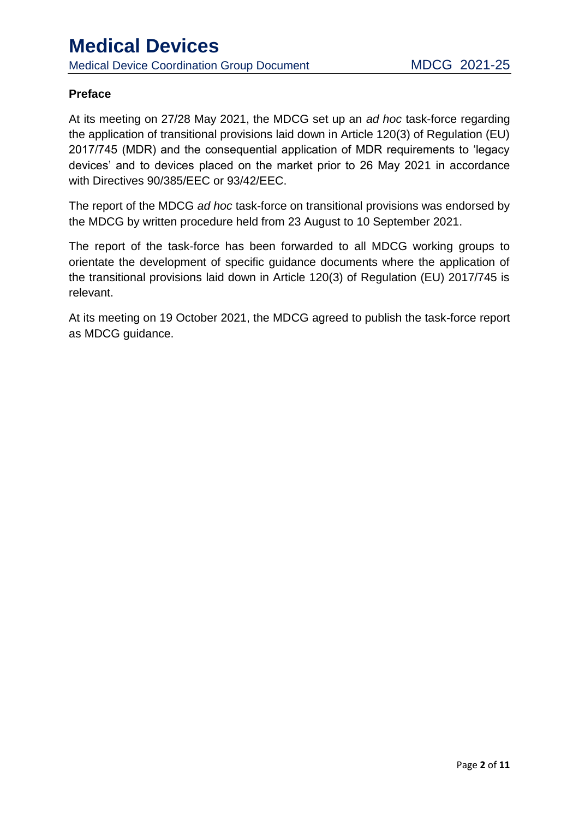#### **Preface**

At its meeting on 27/28 May 2021, the MDCG set up an *ad hoc* task-force regarding the application of transitional provisions laid down in Article 120(3) of Regulation (EU) 2017/745 (MDR) and the consequential application of MDR requirements to 'legacy devices' and to devices placed on the market prior to 26 May 2021 in accordance with Directives 90/385/EEC or 93/42/EEC.

The report of the MDCG *ad hoc* task-force on transitional provisions was endorsed by the MDCG by written procedure held from 23 August to 10 September 2021.

The report of the task-force has been forwarded to all MDCG working groups to orientate the development of specific guidance documents where the application of the transitional provisions laid down in Article 120(3) of Regulation (EU) 2017/745 is relevant.

At its meeting on 19 October 2021, the MDCG agreed to publish the task-force report as MDCG guidance.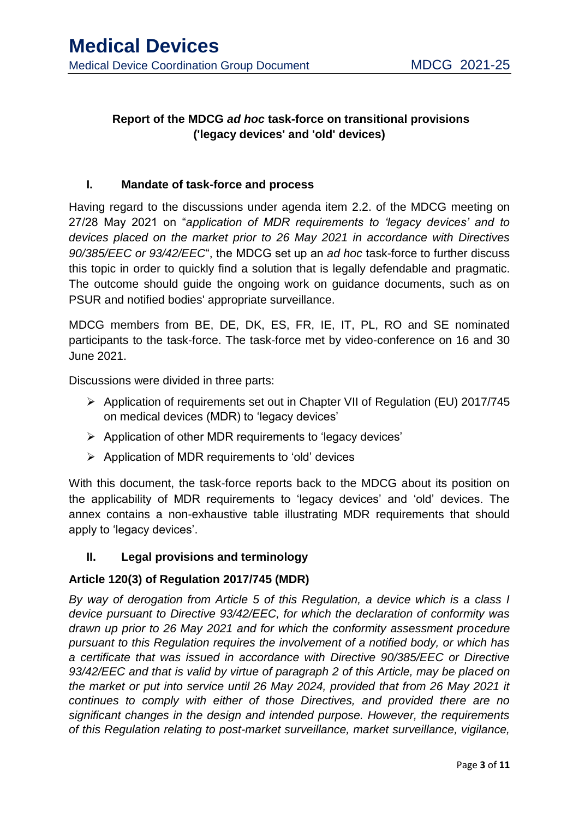#### **Report of the MDCG** *ad hoc* **task-force on transitional provisions ('legacy devices' and 'old' devices)**

#### **I. Mandate of task-force and process**

Having regard to the discussions under agenda item 2.2. of the MDCG meeting on 27/28 May 2021 on "*application of MDR requirements to 'legacy devices' and to devices placed on the market prior to 26 May 2021 in accordance with Directives 90/385/EEC or 93/42/EEC*", the MDCG set up an *ad hoc* task-force to further discuss this topic in order to quickly find a solution that is legally defendable and pragmatic. The outcome should guide the ongoing work on guidance documents, such as on PSUR and notified bodies' appropriate surveillance.

MDCG members from BE, DE, DK, ES, FR, IE, IT, PL, RO and SE nominated participants to the task-force. The task-force met by video-conference on 16 and 30 June 2021.

Discussions were divided in three parts:

- Application of requirements set out in Chapter VII of Regulation (EU) 2017/745 on medical devices (MDR) to 'legacy devices'
- $\triangleright$  Application of other MDR requirements to 'legacy devices'
- $\triangleright$  Application of MDR requirements to 'old' devices

With this document, the task-force reports back to the MDCG about its position on the applicability of MDR requirements to 'legacy devices' and 'old' devices. The annex contains a non-exhaustive table illustrating MDR requirements that should apply to 'legacy devices'.

#### **II. Legal provisions and terminology**

#### **Article 120(3) of Regulation 2017/745 (MDR)**

*By way of derogation from Article 5 of this Regulation, a device which is a class I device pursuant to Directive 93/42/EEC, for which the declaration of conformity was drawn up prior to 26 May 2021 and for which the conformity assessment procedure pursuant to this Regulation requires the involvement of a notified body, or which has a certificate that was issued in accordance with Directive 90/385/EEC or Directive 93/42/EEC and that is valid by virtue of paragraph 2 of this Article, may be placed on the market or put into service until 26 May 2024, provided that from 26 May 2021 it continues to comply with either of those Directives, and provided there are no significant changes in the design and intended purpose. However, the requirements of this Regulation relating to post-market surveillance, market surveillance, vigilance,*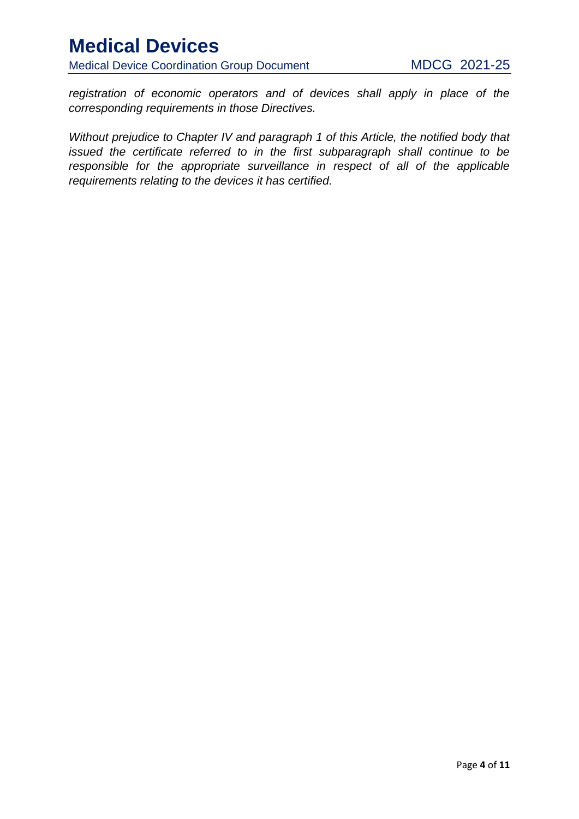Medical Device Coordination Group Document MDCG 2021-25

*registration of economic operators and of devices shall apply in place of the corresponding requirements in those Directives.* 

*Without prejudice to Chapter IV and paragraph 1 of this Article, the notified body that issued the certificate referred to in the first subparagraph shall continue to be responsible for the appropriate surveillance in respect of all of the applicable requirements relating to the devices it has certified.*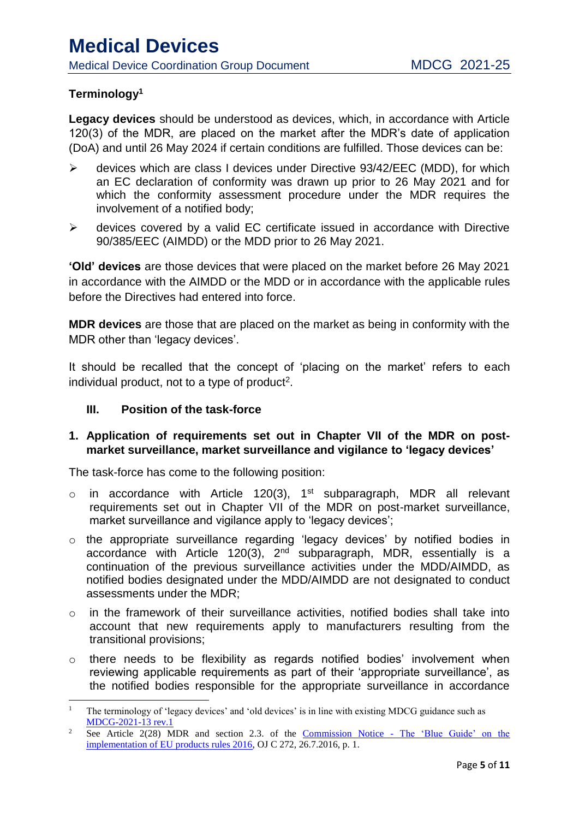#### **Terminology<sup>1</sup>**

**Legacy devices** should be understood as devices, which, in accordance with Article 120(3) of the MDR, are placed on the market after the MDR's date of application (DoA) and until 26 May 2024 if certain conditions are fulfilled. Those devices can be:

- $\triangleright$  devices which are class I devices under Directive 93/42/EEC (MDD), for which an EC declaration of conformity was drawn up prior to 26 May 2021 and for which the conformity assessment procedure under the MDR requires the involvement of a notified body;
- $\triangleright$  devices covered by a valid EC certificate issued in accordance with Directive 90/385/EEC (AIMDD) or the MDD prior to 26 May 2021.

**'Old' devices** are those devices that were placed on the market before 26 May 2021 in accordance with the AIMDD or the MDD or in accordance with the applicable rules before the Directives had entered into force.

**MDR devices** are those that are placed on the market as being in conformity with the MDR other than 'legacy devices'.

It should be recalled that the concept of 'placing on the market' refers to each individual product, not to a type of product<sup>2</sup>.

#### **III. Position of the task-force**

#### **1. Application of requirements set out in Chapter VII of the MDR on postmarket surveillance, market surveillance and vigilance to 'legacy devices'**

The task-force has come to the following position:

- $\circ$  in accordance with Article 120(3), 1<sup>st</sup> subparagraph, MDR all relevant requirements set out in Chapter VII of the MDR on post-market surveillance, market surveillance and vigilance apply to 'legacy devices':
- o the appropriate surveillance regarding 'legacy devices' by notified bodies in accordance with Article 120(3),  $2<sup>nd</sup>$  subparagraph, MDR, essentially is a continuation of the previous surveillance activities under the MDD/AIMDD, as notified bodies designated under the MDD/AIMDD are not designated to conduct assessments under the MDR;
- o in the framework of their surveillance activities, notified bodies shall take into account that new requirements apply to manufacturers resulting from the transitional provisions;
- o there needs to be flexibility as regards notified bodies' involvement when reviewing applicable requirements as part of their 'appropriate surveillance', as the notified bodies responsible for the appropriate surveillance in accordance

**<sup>.</sup>** 1 The terminology of 'legacy devices' and 'old devices' is in line with existing MDCG guidance such as [MDCG-2021-13 rev.1](https://ec.europa.eu/health/sites/default/files/md_sector/docs/md_mdcg_2021-13_q-a-actor_registr_eudamed_en.pdf)

<sup>2</sup> See Article 2(28) MDR and section 2.3. of the Commission Notice - [The 'Blue Guide' on the](file:///C:/Users/BISCHPT/Downloads/OJ_C_2016_272_FULL_EN_TXT%20(2).pdf)  [implementation of EU products rules 2016,](file:///C:/Users/BISCHPT/Downloads/OJ_C_2016_272_FULL_EN_TXT%20(2).pdf) OJ C 272, 26.7.2016, p. 1.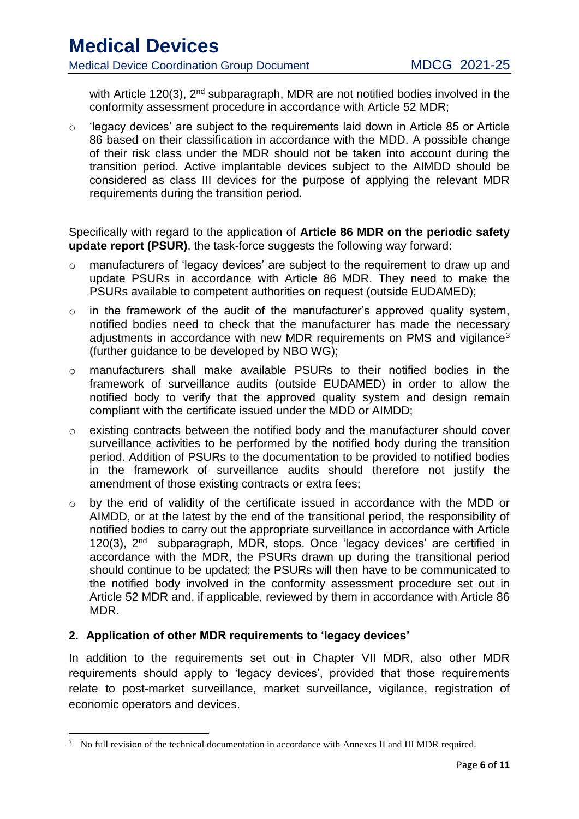Medical Device Coordination Group Document MDCG 2021-25

with Article 120(3), 2<sup>nd</sup> subparagraph, MDR are not notified bodies involved in the conformity assessment procedure in accordance with Article 52 MDR;

 $\circ$  'legacy devices' are subject to the requirements laid down in Article 85 or Article 86 based on their classification in accordance with the MDD. A possible change of their risk class under the MDR should not be taken into account during the transition period. Active implantable devices subject to the AIMDD should be considered as class III devices for the purpose of applying the relevant MDR requirements during the transition period.

Specifically with regard to the application of **Article 86 MDR on the periodic safety update report (PSUR)**, the task-force suggests the following way forward:

- o manufacturers of 'legacy devices' are subject to the requirement to draw up and update PSURs in accordance with Article 86 MDR. They need to make the PSURs available to competent authorities on request (outside EUDAMED);
- $\circ$  in the framework of the audit of the manufacturer's approved quality system, notified bodies need to check that the manufacturer has made the necessary adjustments in accordance with new MDR requirements on PMS and vigilance<sup>3</sup> (further guidance to be developed by NBO WG);
- o manufacturers shall make available PSURs to their notified bodies in the framework of surveillance audits (outside EUDAMED) in order to allow the notified body to verify that the approved quality system and design remain compliant with the certificate issued under the MDD or AIMDD;
- o existing contracts between the notified body and the manufacturer should cover surveillance activities to be performed by the notified body during the transition period. Addition of PSURs to the documentation to be provided to notified bodies in the framework of surveillance audits should therefore not justify the amendment of those existing contracts or extra fees;
- o by the end of validity of the certificate issued in accordance with the MDD or AIMDD, or at the latest by the end of the transitional period, the responsibility of notified bodies to carry out the appropriate surveillance in accordance with Article 120(3), 2<sup>nd</sup> subparagraph, MDR, stops. Once 'legacy devices' are certified in accordance with the MDR, the PSURs drawn up during the transitional period should continue to be updated; the PSURs will then have to be communicated to the notified body involved in the conformity assessment procedure set out in Article 52 MDR and, if applicable, reviewed by them in accordance with Article 86 MDR.

#### **2. Application of other MDR requirements to 'legacy devices'**

In addition to the requirements set out in Chapter VII MDR, also other MDR requirements should apply to 'legacy devices', provided that those requirements relate to post-market surveillance, market surveillance, vigilance, registration of economic operators and devices.

<sup>&</sup>lt;sup>3</sup> No full revision of the technical documentation in accordance with Annexes II and III MDR required.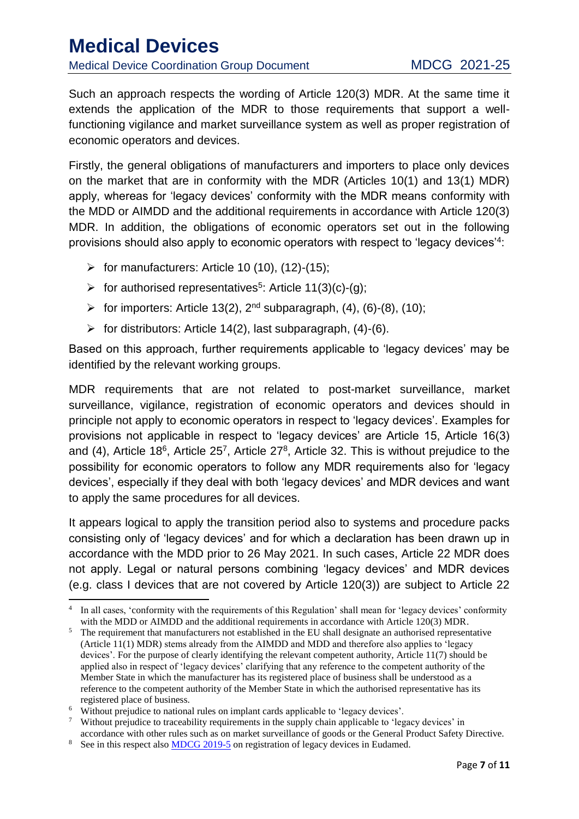### **Medical Devices** Medical Device Coordination Group Document MDCG 2021-25

Such an approach respects the wording of Article 120(3) MDR. At the same time it extends the application of the MDR to those requirements that support a wellfunctioning vigilance and market surveillance system as well as proper registration of economic operators and devices.

Firstly, the general obligations of manufacturers and importers to place only devices on the market that are in conformity with the MDR (Articles 10(1) and 13(1) MDR) apply, whereas for 'legacy devices' conformity with the MDR means conformity with the MDD or AIMDD and the additional requirements in accordance with Article 120(3) MDR. In addition, the obligations of economic operators set out in the following provisions should also apply to economic operators with respect to 'legacy devices'<sup>4</sup>:

- $\triangleright$  for manufacturers: Article 10 (10), (12)-(15);
- $\triangleright$  for authorised representatives<sup>5</sup>: Article 11(3)(c)-(g);
- $\triangleright$  for importers: Article 13(2), 2<sup>nd</sup> subparagraph, (4), (6)-(8), (10);
- $\triangleright$  for distributors: Article 14(2), last subparagraph, (4)-(6).

Based on this approach, further requirements applicable to 'legacy devices' may be identified by the relevant working groups.

MDR requirements that are not related to post-market surveillance, market surveillance, vigilance, registration of economic operators and devices should in principle not apply to economic operators in respect to 'legacy devices'. Examples for provisions not applicable in respect to 'legacy devices' are Article 15, Article 16(3) and (4), Article 18<sup>6</sup>, Article 25<sup>7</sup>, Article 27<sup>8</sup>, Article 32. This is without prejudice to the possibility for economic operators to follow any MDR requirements also for 'legacy devices', especially if they deal with both 'legacy devices' and MDR devices and want to apply the same procedures for all devices.

It appears logical to apply the transition period also to systems and procedure packs consisting only of 'legacy devices' and for which a declaration has been drawn up in accordance with the MDD prior to 26 May 2021. In such cases, Article 22 MDR does not apply. Legal or natural persons combining 'legacy devices' and MDR devices (e.g. class I devices that are not covered by Article 120(3)) are subject to Article 22

<sup>7</sup> Without prejudice to traceability requirements in the supply chain applicable to 'legacy devices' in accordance with other rules such as on market surveillance of goods or the General Product Safety Directive.

**<sup>.</sup>** <sup>4</sup> In all cases, 'conformity with the requirements of this Regulation' shall mean for 'legacy devices' conformity with the MDD or AIMDD and the additional requirements in accordance with Article 120(3) MDR.

<sup>&</sup>lt;sup>5</sup> The requirement that manufacturers not established in the EU shall designate an authorised representative (Article 11(1) MDR) stems already from the AIMDD and MDD and therefore also applies to 'legacy devices'. For the purpose of clearly identifying the relevant competent authority, Article 11(7) should be applied also in respect of 'legacy devices' clarifying that any reference to the competent authority of the Member State in which the manufacturer has its registered place of business shall be understood as a reference to the competent authority of the Member State in which the authorised representative has its registered place of business.

<sup>6</sup> Without prejudice to national rules on implant cards applicable to 'legacy devices'.

<sup>&</sup>lt;sup>8</sup> See in this respect also **MDCG** 2019-5 on registration of legacy devices in Eudamed.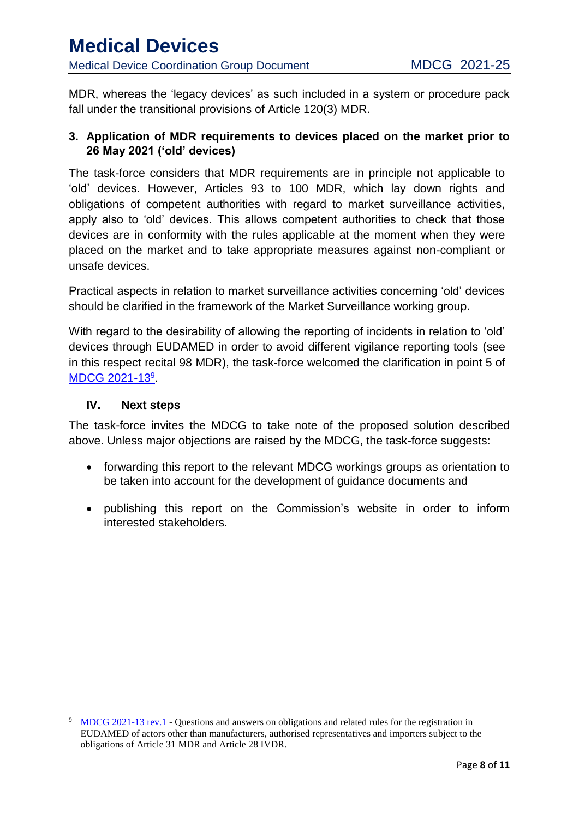MDR, whereas the 'legacy devices' as such included in a system or procedure pack fall under the transitional provisions of Article 120(3) MDR.

#### **3. Application of MDR requirements to devices placed on the market prior to 26 May 2021 ('old' devices)**

The task-force considers that MDR requirements are in principle not applicable to 'old' devices. However, Articles 93 to 100 MDR, which lay down rights and obligations of competent authorities with regard to market surveillance activities, apply also to 'old' devices. This allows competent authorities to check that those devices are in conformity with the rules applicable at the moment when they were placed on the market and to take appropriate measures against non-compliant or unsafe devices.

Practical aspects in relation to market surveillance activities concerning 'old' devices should be clarified in the framework of the Market Surveillance working group.

With regard to the desirability of allowing the reporting of incidents in relation to 'old' devices through EUDAMED in order to avoid different vigilance reporting tools (see in this respect recital 98 MDR), the task-force welcomed the clarification in point 5 of [MDCG 2021-13](https://ec.europa.eu/health/sites/default/files/md_sector/docs/md_mdcg_2021-13_q-a-actor_registr_eudamed_en.pdf)<sup>9</sup>.

#### **IV. Next steps**

**.** 

The task-force invites the MDCG to take note of the proposed solution described above. Unless major objections are raised by the MDCG, the task-force suggests:

- forwarding this report to the relevant MDCG workings groups as orientation to be taken into account for the development of guidance documents and
- publishing this report on the Commission's website in order to inform interested stakeholders.

<sup>9</sup> [MDCG 2021-13 rev.1](https://ec.europa.eu/health/sites/default/files/md_sector/docs/md_mdcg_2021-13_q-a-actor_registr_eudamed_en.pdf) - Questions and answers on obligations and related rules for the registration in EUDAMED of actors other than manufacturers, authorised representatives and importers subject to the obligations of Article 31 MDR and Article 28 IVDR.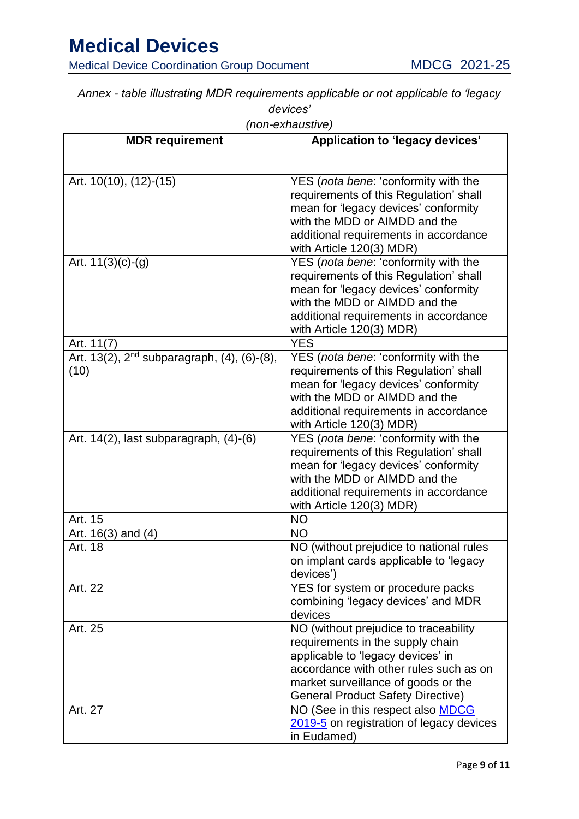Medical Device Coordination Group Document MDCG 2021-25

*Annex - table illustrating MDR requirements applicable or not applicable to 'legacy devices'*

| (non-exnaustive)                                                |                                                                                                                                                                                                                                             |
|-----------------------------------------------------------------|---------------------------------------------------------------------------------------------------------------------------------------------------------------------------------------------------------------------------------------------|
| <b>MDR</b> requirement                                          | Application to 'legacy devices'                                                                                                                                                                                                             |
| Art. 10(10), (12)-(15)                                          | YES (nota bene: 'conformity with the<br>requirements of this Regulation' shall<br>mean for 'legacy devices' conformity<br>with the MDD or AIMDD and the<br>additional requirements in accordance<br>with Article 120(3) MDR)                |
| Art. $11(3)(c)-(g)$                                             | YES (nota bene: 'conformity with the<br>requirements of this Regulation' shall<br>mean for 'legacy devices' conformity<br>with the MDD or AIMDD and the<br>additional requirements in accordance<br>with Article 120(3) MDR)                |
| Art. 11(7)                                                      | <b>YES</b>                                                                                                                                                                                                                                  |
| Art. 13(2), 2 <sup>nd</sup> subparagraph, (4), (6)-(8),<br>(10) | YES (nota bene: 'conformity with the<br>requirements of this Regulation' shall<br>mean for 'legacy devices' conformity<br>with the MDD or AIMDD and the<br>additional requirements in accordance<br>with Article 120(3) MDR)                |
| Art. $14(2)$ , last subparagraph, $(4)-(6)$                     | YES (nota bene: 'conformity with the<br>requirements of this Regulation' shall<br>mean for 'legacy devices' conformity<br>with the MDD or AIMDD and the<br>additional requirements in accordance<br>with Article 120(3) MDR)                |
| Art. 15                                                         | <b>NO</b>                                                                                                                                                                                                                                   |
| Art. $16(3)$ and $(4)$                                          | <b>NO</b>                                                                                                                                                                                                                                   |
| Art. 18                                                         | NO (without prejudice to national rules<br>on implant cards applicable to 'legacy<br>devices')                                                                                                                                              |
| Art. 22                                                         | YES for system or procedure packs<br>combining 'legacy devices' and MDR<br>devices                                                                                                                                                          |
| Art. 25                                                         | NO (without prejudice to traceability<br>requirements in the supply chain<br>applicable to 'legacy devices' in<br>accordance with other rules such as on<br>market surveillance of goods or the<br><b>General Product Safety Directive)</b> |
| Art. 27                                                         | NO (See in this respect also <b>MDCG</b><br>2019-5 on registration of legacy devices<br>in Eudamed)                                                                                                                                         |

*(non-exhaustive)*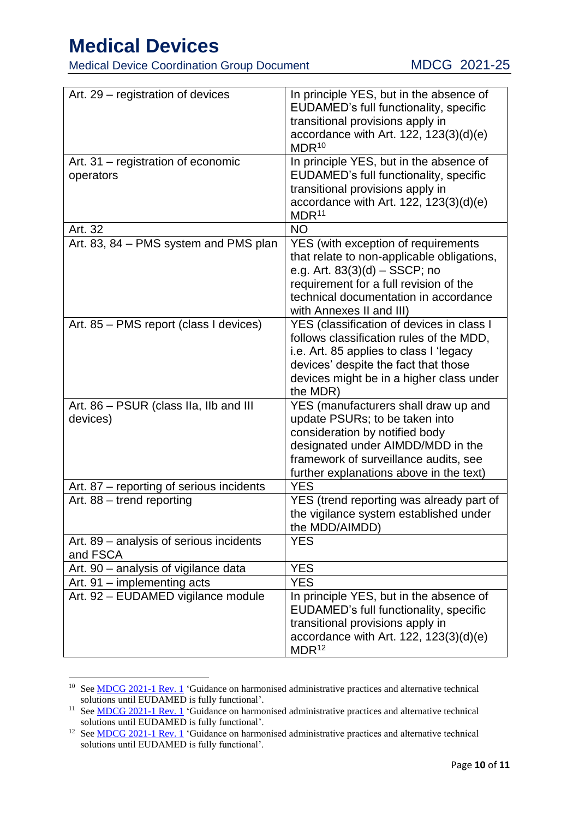Medical Device Coordination Group Document MDCG 2021-25

| Art. 29 – registration of devices                   | In principle YES, but in the absence of<br>EUDAMED's full functionality, specific<br>transitional provisions apply in<br>accordance with Art. $122$ , $123(3)(d)(e)$<br>MDR <sup>10</sup>                                            |
|-----------------------------------------------------|--------------------------------------------------------------------------------------------------------------------------------------------------------------------------------------------------------------------------------------|
| Art. 31 – registration of economic<br>operators     | In principle YES, but in the absence of<br>EUDAMED's full functionality, specific<br>transitional provisions apply in<br>accordance with Art. 122, $123(3)(d)(e)$<br>MDR <sup>11</sup>                                               |
| Art. 32                                             | <b>NO</b>                                                                                                                                                                                                                            |
| Art. 83, 84 - PMS system and PMS plan               | YES (with exception of requirements<br>that relate to non-applicable obligations,<br>e.g. Art. $83(3)(d) - SSCP$ ; no<br>requirement for a full revision of the<br>technical documentation in accordance<br>with Annexes II and III) |
| Art. 85 - PMS report (class I devices)              | YES (classification of devices in class I<br>follows classification rules of the MDD,<br>i.e. Art. 85 applies to class I 'legacy<br>devices' despite the fact that those<br>devices might be in a higher class under<br>the MDR)     |
| Art. 86 – PSUR (class IIa, IIb and III<br>devices)  | YES (manufacturers shall draw up and<br>update PSURs; to be taken into<br>consideration by notified body<br>designated under AIMDD/MDD in the<br>framework of surveillance audits, see<br>further explanations above in the text)    |
| Art. 87 – reporting of serious incidents            | <b>YES</b>                                                                                                                                                                                                                           |
| Art. 88 - trend reporting                           | YES (trend reporting was already part of<br>the vigilance system established under<br>the MDD/AIMDD)                                                                                                                                 |
| Art. 89 – analysis of serious incidents<br>and FSCA | <b>YES</b>                                                                                                                                                                                                                           |
| Art. 90 - analysis of vigilance data                | <b>YES</b>                                                                                                                                                                                                                           |
| Art. 91 - implementing acts                         | <b>YES</b>                                                                                                                                                                                                                           |
| Art. 92 - EUDAMED vigilance module                  | In principle YES, but in the absence of<br>EUDAMED's full functionality, specific<br>transitional provisions apply in<br>accordance with Art. $122$ , $123(3)(d)(e)$<br>MDR <sup>12</sup>                                            |

<sup>10</sup> See [MDCG 2021-1 Rev. 1](https://ec.europa.eu/health/sites/default/files/md_sector/docs/2021-1_guidance-administrative-practices_en.pdf) 'Guidance on harmonised administrative practices and alternative technical solutions until EUDAMED is fully functional'.

<sup>&</sup>lt;sup>11</sup> See **MDCG 2021-1 Rev. 1** 'Guidance on harmonised administrative practices and alternative technical solutions until EUDAMED is fully functional'.

<sup>&</sup>lt;sup>12</sup> See [MDCG 2021-1 Rev. 1](https://ec.europa.eu/health/sites/default/files/md_sector/docs/2021-1_guidance-administrative-practices_en.pdf) 'Guidance on harmonised administrative practices and alternative technical solutions until EUDAMED is fully functional'.